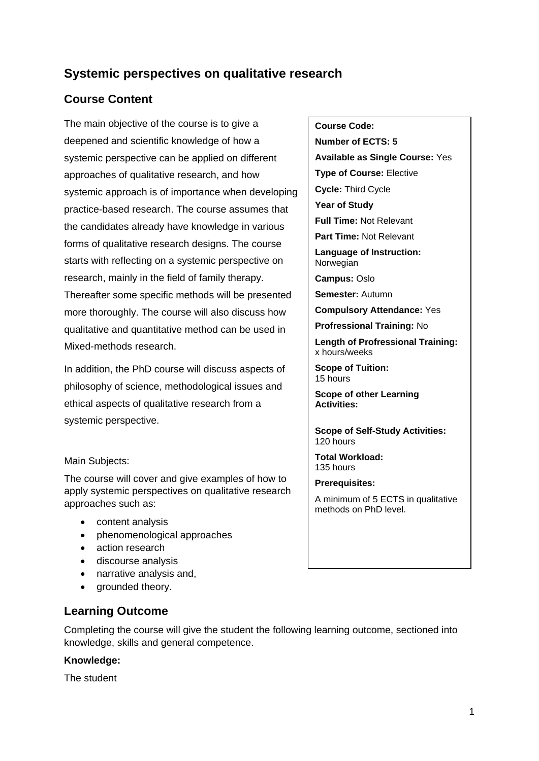# **Systemic perspectives on qualitative research**

# **Course Content**

The main objective of the course is to give a deepened and scientific knowledge of how a systemic perspective can be applied on different approaches of qualitative research, and how systemic approach is of importance when developing practice-based research. The course assumes that the candidates already have knowledge in various forms of qualitative research designs. The course starts with reflecting on a systemic perspective on research, mainly in the field of family therapy. Thereafter some specific methods will be presented more thoroughly. The course will also discuss how qualitative and quantitative method can be used in

Mixed-methods research.

In addition, the PhD course will discuss aspects of philosophy of science, methodological issues and ethical aspects of qualitative research from a systemic perspective.

#### Main Subjects:

The course will cover and give examples of how to apply systemic perspectives on qualitative research approaches such as:

- content analysis
- phenomenological approaches
- action research
- discourse analysis
- narrative analysis and,
- grounded theory.

## **Learning Outcome**

Completing the course will give the student the following learning outcome, sectioned into knowledge, skills and general competence.

### **Knowledge:**

The student

#### **Course Code:**

**Number of ECTS: 5**

**Available as Single Course:** Yes

**Type of Course:** Elective

**Cycle:** Third Cycle

**Year of Study**

**Full Time:** Not Relevant

**Part Time:** Not Relevant

**Language of Instruction: Norwegian** 

**Campus:** Oslo

**Semester:** Autumn

**Compulsory Attendance:** Yes

**Profressional Training:** No

**Length of Profressional Training:**  x hours/weeks

**Scope of Tuition:** 15 hours

**Scope of other Learning Activities:**

**Scope of Self-Study Activities:** 120 hours

**Total Workload:** 135 hours

**Prerequisites:**

A minimum of 5 ECTS in qualitative methods on PhD level.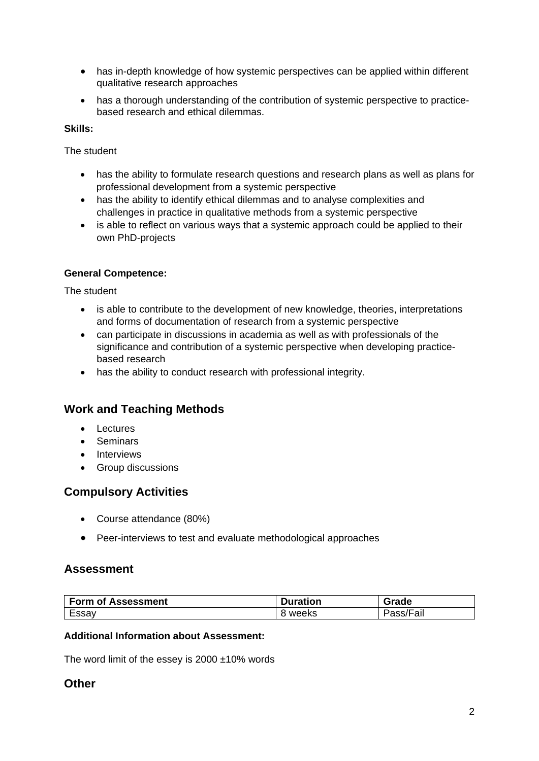- has in-depth knowledge of how systemic perspectives can be applied within different qualitative research approaches
- has a thorough understanding of the contribution of systemic perspective to practicebased research and ethical dilemmas.

#### **Skills:**

The student

- has the ability to formulate research questions and research plans as well as plans for professional development from a systemic perspective
- has the ability to identify ethical dilemmas and to analyse complexities and challenges in practice in qualitative methods from a systemic perspective
- is able to reflect on various ways that a systemic approach could be applied to their own PhD-projects

### **General Competence:**

The student

- is able to contribute to the development of new knowledge, theories, interpretations and forms of documentation of research from a systemic perspective
- can participate in discussions in academia as well as with professionals of the significance and contribution of a systemic perspective when developing practicebased research
- has the ability to conduct research with professional integrity.

## **Work and Teaching Methods**

- Lectures
- Seminars
- Interviews
- Group discussions

## **Compulsory Activities**

- Course attendance (80%)
- Peer-interviews to test and evaluate methodological approaches

## **Assessment**

| <b>Form of Assessment</b> | <b>Puration</b> | Grade               |
|---------------------------|-----------------|---------------------|
| Essay                     | weeks           | -<br>'Fall<br>αδδλι |

#### **Additional Information about Assessment:**

The word limit of the essey is  $2000 \pm 10\%$  words

### **Other**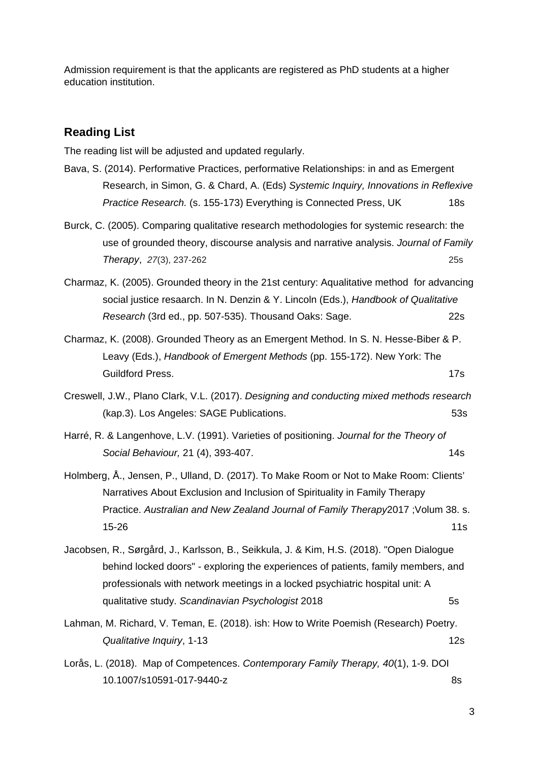Admission requirement is that the applicants are registered as PhD students at a higher education institution.

### **Reading List**

The reading list will be adjusted and updated regularly.

- Bava, S. (2014). Performative Practices, performative Relationships: in and as Emergent Research, in Simon, G. & Chard, A. (Eds) *Systemic Inquiry, Innovations in Reflexive Practice Research.* (s. 155-173) Everything is Connected Press, UK 18s
- Burck, C. (2005). Comparing qualitative research methodologies for systemic research: the use of grounded theory, discourse analysis and narrative analysis. *Journal of Family Therapy*, *27*(3), 237-262 25s
- Charmaz, K. (2005). Grounded theory in the 21st century: Aqualitative method for advancing social justice resaarch. In N. Denzin & Y. Lincoln (Eds.), *Handbook of Qualitative Research* (3rd ed., pp. 507-535). Thousand Oaks: Sage. 22s
- Charmaz, K. (2008). Grounded Theory as an Emergent Method. In S. N. Hesse-Biber & P. Leavy (Eds.), *Handbook of Emergent Methods* (pp. 155-172). New York: The Guildford Press. 17s
- Creswell, J.W., Plano Clark, V.L. (2017). *Designing and conducting mixed methods research* (kap.3). Los Angeles: SAGE Publications. 53s
- Harré, R. & Langenhove, L.V. (1991). Varieties of positioning. *Journal for the Theory of*  **Social Behaviour, 21 (4), 393-407.** 14s
- Holmberg, Å., Jensen, P., Ulland, D. (2017). To Make Room or Not to Make Room: Clients' Narratives About Exclusion and Inclusion of Spirituality in Family Therapy Practice. *Australian and New Zealand Journal of Family Therapy*2017 ;Volum 38. s.  $15-26$  11s
- Jacobsen, R., Sørgård, J., Karlsson, B., Seikkula, J. & Kim, H.S. (2018). "Open Dialogue behind locked doors" - exploring the experiences of patients, family members, and professionals with network meetings in a locked psychiatric hospital unit: A qualitative study. *Scandinavian Psychologist* 2018 5s
- Lahman, M. Richard, V. Teman, E. (2018). ish: How to Write Poemish (Research) Poetry. *Qualitative Inquiry*, 1-13 12s
- Lorås, L. (2018). Map of Competences. *Contemporary Family Therapy, 40*(1), 1-9. DOI 10.1007/s10591-017-9440-z 8s